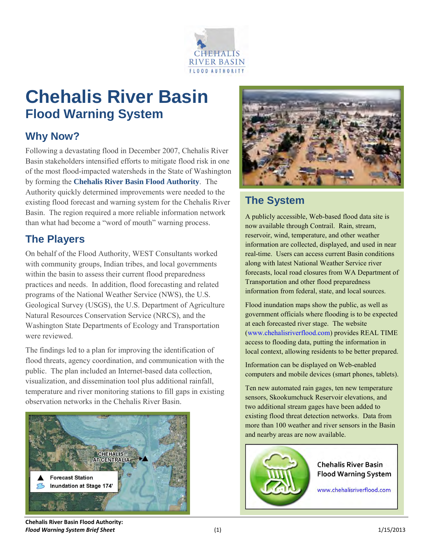

## **Chehalis River Basin Flood Warning System**

## **Why Now?**

Following a devastating flood in December 2007, Chehalis River Basin stakeholders intensified efforts to mitigate flood risk in one of the most flood-impacted watersheds in the State of Washington by forming the **Chehalis River Basin Flood Authority**. The Authority quickly determined improvements were needed to the existing flood forecast and warning system for the Chehalis River Basin. The region required a more reliable information network than what had become a "word of mouth" warning process.

### **The Players**

On behalf of the Flood Authority, WEST Consultants worked with community groups, Indian tribes, and local governments within the basin to assess their current flood preparedness practices and needs. In addition, flood forecasting and related programs of the National Weather Service (NWS), the U.S. Geological Survey (USGS), the U.S. Department of Agriculture Natural Resources Conservation Service (NRCS), and the Washington State Departments of Ecology and Transportation were reviewed.

The findings led to a plan for improving the identification of flood threats, agency coordination, and communication with the public. The plan included an Internet-based data collection, visualization, and dissemination tool plus additional rainfall, temperature and river monitoring stations to fill gaps in existing observation networks in the Chehalis River Basin.





## **The System**

A publicly accessible, Web-based flood data site is now available through Contrail. Rain, stream, reservoir, wind, temperature, and other weather information are collected, displayed, and used in near real-time. Users can access current Basin conditions along with latest National Weather Service river forecasts, local road closures from WA Department of Transportation and other flood preparedness information from federal, state, and local sources.

Flood inundation maps show the public, as well as government officials where flooding is to be expected at each forecasted river stage. The website [\(www.chehalisriverflood.com\)](http://www.chehalisriverflood.com/) provides REAL TIME access to flooding data, putting the information in local context, allowing residents to be better prepared.

Information can be displayed on Web-enabled computers and mobile devices (smart phones, tablets).

Ten new automated rain gages, ten new temperature sensors, Skookumchuck Reservoir elevations, and two additional stream gages have been added to existing flood threat detection networks. Data from more than 100 weather and river sensors in the Basin and nearby areas are now available.



**Chehalis River Basin Flood Authority: Flood Warning System Brief Sheet** (1) 1/15/2013